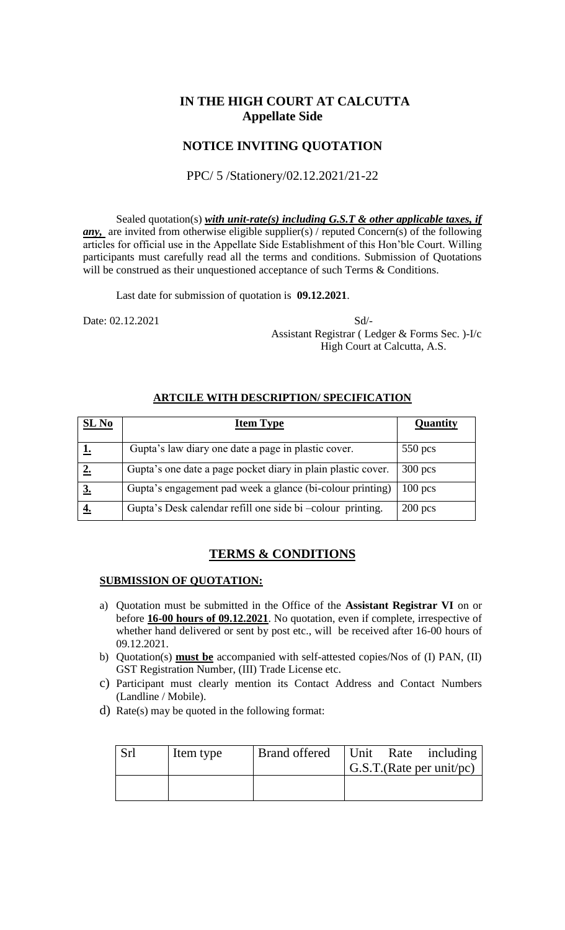# **IN THE HIGH COURT AT CALCUTTA Appellate Side**

## **NOTICE INVITING QUOTATION**

### PPC/ 5 /Stationery/02.12.2021/21-22

Sealed quotation(s) *with unit-rate(s) including G.S.T & other applicable taxes, if any*, are invited from otherwise eligible supplier(s) / reputed Concern(s) of the following articles for official use in the Appellate Side Establishment of this Hon'ble Court. Willing participants must carefully read all the terms and conditions. Submission of Quotations will be construed as their unquestioned acceptance of such Terms & Conditions.

Last date for submission of quotation is **09.12.2021**.

Date: 02.12.2021 Sd/- Assistant Registrar ( Ledger & Forms Sec. )-I/c High Court at Calcutta, A.S.

#### **ARTCILE WITH DESCRIPTION/ SPECIFICATION**

| SL <sub>No</sub> | <b>Item Type</b>                                             | Quantity  |
|------------------|--------------------------------------------------------------|-----------|
|                  | Gupta's law diary one date a page in plastic cover.          | $550$ pcs |
|                  | Gupta's one date a page pocket diary in plain plastic cover. | $300$ pcs |
|                  | Gupta's engagement pad week a glance (bi-colour printing)    | $100$ pcs |
|                  | Gupta's Desk calendar refill one side bi -colour printing.   | $200$ pcs |

# **TERMS & CONDITIONS**

#### **SUBMISSION OF QUOTATION:**

- a) Quotation must be submitted in the Office of the **Assistant Registrar VI** on or before **16-00 hours of 09.12.2021**. No quotation, even if complete, irrespective of whether hand delivered or sent by post etc., will be received after 16-00 hours of 09.12.2021.
- b) Quotation(s) **must be** accompanied with self-attested copies/Nos of (I) PAN, (II) GST Registration Number, (III) Trade License etc.
- c) Participant must clearly mention its Contact Address and Contact Numbers (Landline / Mobile).
- d) Rate(s) may be quoted in the following format:

| Srl | Item type | Brand offered   Unit Rate including |  | G.S.T.(Rate per unit/pc) |
|-----|-----------|-------------------------------------|--|--------------------------|
|     |           |                                     |  |                          |